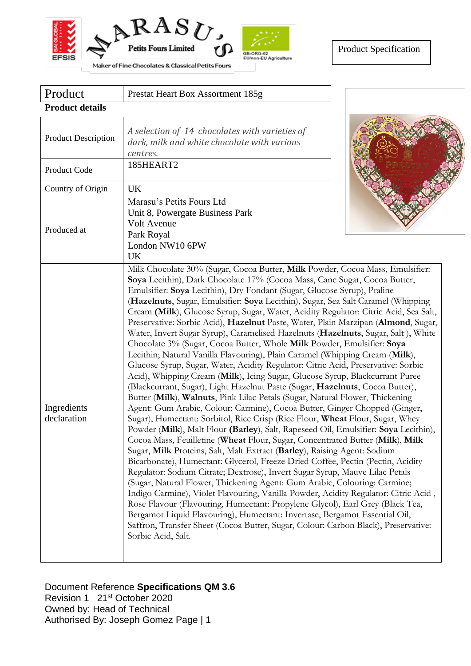



| Product                    | Prestat Heart Box Assortment 185g                                                                                                                                                                                                                                                                                                                                                                                                                                                                                                                                                                                                                                                                                                                                                                                                                                                                                                                                                                                                                                                                                                                                                                                                                                                                                                                                                                                                                                                                                                                                                                                                                                                                                                                                                                                                                                                                                                                                                                                                                                                                                                |  |  |  |
|----------------------------|----------------------------------------------------------------------------------------------------------------------------------------------------------------------------------------------------------------------------------------------------------------------------------------------------------------------------------------------------------------------------------------------------------------------------------------------------------------------------------------------------------------------------------------------------------------------------------------------------------------------------------------------------------------------------------------------------------------------------------------------------------------------------------------------------------------------------------------------------------------------------------------------------------------------------------------------------------------------------------------------------------------------------------------------------------------------------------------------------------------------------------------------------------------------------------------------------------------------------------------------------------------------------------------------------------------------------------------------------------------------------------------------------------------------------------------------------------------------------------------------------------------------------------------------------------------------------------------------------------------------------------------------------------------------------------------------------------------------------------------------------------------------------------------------------------------------------------------------------------------------------------------------------------------------------------------------------------------------------------------------------------------------------------------------------------------------------------------------------------------------------------|--|--|--|
| <b>Product details</b>     |                                                                                                                                                                                                                                                                                                                                                                                                                                                                                                                                                                                                                                                                                                                                                                                                                                                                                                                                                                                                                                                                                                                                                                                                                                                                                                                                                                                                                                                                                                                                                                                                                                                                                                                                                                                                                                                                                                                                                                                                                                                                                                                                  |  |  |  |
| <b>Product Description</b> | A selection of 14 chocolates with varieties of<br>dark, milk and white chocolate with various<br>centres.                                                                                                                                                                                                                                                                                                                                                                                                                                                                                                                                                                                                                                                                                                                                                                                                                                                                                                                                                                                                                                                                                                                                                                                                                                                                                                                                                                                                                                                                                                                                                                                                                                                                                                                                                                                                                                                                                                                                                                                                                        |  |  |  |
| Product Code               | 185HEART2                                                                                                                                                                                                                                                                                                                                                                                                                                                                                                                                                                                                                                                                                                                                                                                                                                                                                                                                                                                                                                                                                                                                                                                                                                                                                                                                                                                                                                                                                                                                                                                                                                                                                                                                                                                                                                                                                                                                                                                                                                                                                                                        |  |  |  |
| Country of Origin          | UK                                                                                                                                                                                                                                                                                                                                                                                                                                                                                                                                                                                                                                                                                                                                                                                                                                                                                                                                                                                                                                                                                                                                                                                                                                                                                                                                                                                                                                                                                                                                                                                                                                                                                                                                                                                                                                                                                                                                                                                                                                                                                                                               |  |  |  |
| Produced at                | Marasu's Petits Fours Ltd<br>Unit 8, Powergate Business Park<br>Volt Avenue<br>Park Royal<br>London NW10 6PW<br>UK                                                                                                                                                                                                                                                                                                                                                                                                                                                                                                                                                                                                                                                                                                                                                                                                                                                                                                                                                                                                                                                                                                                                                                                                                                                                                                                                                                                                                                                                                                                                                                                                                                                                                                                                                                                                                                                                                                                                                                                                               |  |  |  |
| Ingredients<br>declaration | Milk Chocolate 30% (Sugar, Cocoa Butter, Milk Powder, Cocoa Mass, Emulsifier:<br>Soya Lecithin), Dark Chocolate 17% (Cocoa Mass, Cane Sugar, Cocoa Butter,<br>Emulsifier: Soya Lecithin), Dry Fondant (Sugar, Glucose Syrup), Praline<br>(Hazelnuts, Sugar, Emulsifier: Soya Lecithin), Sugar, Sea Salt Caramel (Whipping<br>Cream (Milk), Glucose Syrup, Sugar, Water, Acidity Regulator: Citric Acid, Sea Salt,<br>Preservative: Sorbic Acid), Hazelnut Paste, Water, Plain Marzipan (Almond, Sugar,<br>Water, Invert Sugar Syrup), Caramelised Hazelnuts (Hazelnuts, Sugar, Salt), White<br>Chocolate 3% (Sugar, Cocoa Butter, Whole Milk Powder, Emulsifier: Soya<br>Lecithin; Natural Vanilla Flavouring), Plain Caramel (Whipping Cream (Milk),<br>Glucose Syrup, Sugar, Water, Acidity Regulator: Citric Acid, Preservative: Sorbic<br>Acid), Whipping Cream (Milk), Icing Sugar, Glucose Syrup, Blackcurrant Puree<br>(Blackcurrant, Sugar), Light Hazelnut Paste (Sugar, Hazelnuts, Cocoa Butter),<br>Butter (Milk), Walnuts, Pink Lilac Petals (Sugar, Natural Flower, Thickening<br>Agent: Gum Arabic, Colour: Carmine), Cocoa Butter, Ginger Chopped (Ginger,<br>Sugar), Humectant: Sorbitol, Rice Crisp (Rice Flour, Wheat Flour, Sugar, Whey<br>Powder (Milk), Malt Flour (Barley), Salt, Rapeseed Oil, Emulsifier: Soya Lecithin),<br>Cocoa Mass, Feuilletine (Wheat Flour, Sugar, Concentrated Butter (Milk), Milk<br>Sugar, Milk Proteins, Salt, Malt Extract (Barley), Raising Agent: Sodium<br>Bicarbonate), Humectant: Glycerol, Freeze Dried Coffee, Pectin (Pectin, Acidity<br>Regulator: Sodium Citrate; Dextrose), Invert Sugar Syrup, Mauve Lilac Petals<br>(Sugar, Natural Flower, Thickening Agent: Gum Arabic, Colouring: Carmine;<br>Indigo Carmine), Violet Flavouring, Vanilla Powder, Acidity Regulator: Citric Acid,<br>Rose Flavour (Flavouring, Humectant: Propylene Glycol), Earl Grey (Black Tea,<br>Bergamot Liquid Flavouring), Humectant: Invertase, Bergamot Essential Oil,<br>Saffron, Transfer Sheet (Cocoa Butter, Sugar, Colour: Carbon Black), Preservative:<br>Sorbic Acid, Salt. |  |  |  |

Document Reference **Specifications QM 3.6** Revision 1 21<sup>st</sup> October 2020 Owned by: Head of Technical Authorised By: Joseph Gomez Page | 1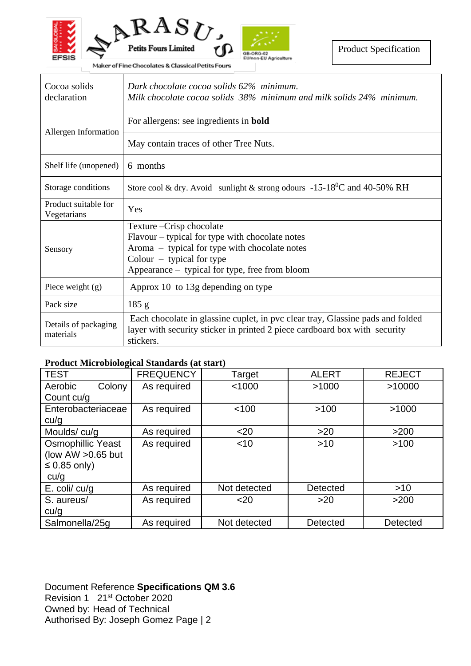

Maker of Fine Chocolates & Classical Petits Fours

| Cocoa solids<br>declaration         | Dark chocolate cocoa solids 62% minimum.<br>Milk chocolate cocoa solids 38% minimum and milk solids 24% minimum.                                                                                               |  |
|-------------------------------------|----------------------------------------------------------------------------------------------------------------------------------------------------------------------------------------------------------------|--|
| Allergen Information                | For allergens: see ingredients in <b>bold</b>                                                                                                                                                                  |  |
|                                     | May contain traces of other Tree Nuts.                                                                                                                                                                         |  |
| Shelf life (unopened)               | 6 months                                                                                                                                                                                                       |  |
| Storage conditions                  | Store cool & dry. Avoid sunlight & strong odours -15-18 <sup>0</sup> C and 40-50% RH                                                                                                                           |  |
| Product suitable for<br>Vegetarians | Yes                                                                                                                                                                                                            |  |
| Sensory                             | Texture - Crisp chocolate<br>Flavour – typical for type with chocolate notes<br>Aroma – typical for type with chocolate notes<br>Colour $-$ typical for type<br>Appearance – typical for type, free from bloom |  |
| Piece weight $(g)$                  | Approx 10 to 13g depending on type                                                                                                                                                                             |  |
| Pack size                           | 185 g                                                                                                                                                                                                          |  |
| Details of packaging<br>materials   | Each chocolate in glassine cuplet, in pvc clear tray, Glassine pads and folded<br>layer with security sticker in printed 2 piece cardboard box with security<br>stickers.                                      |  |

## **Product Microbiological Standards (at start)**

| <b>TEST</b>              | <b>FREQUENCY</b> | Target       | <b>ALERT</b>    | <b>REJECT</b>   |
|--------------------------|------------------|--------------|-----------------|-----------------|
| Aerobic<br>Colony        | As required      | < 1000       | >1000           | >10000          |
| Count cu/g               |                  |              |                 |                 |
| Enterobacteriaceae       | As required      | < 100        | >100            | >1000           |
| cu/g                     |                  |              |                 |                 |
| Moulds/cu/g              | As required      | $20$         | $>20$           | >200            |
| <b>Osmophillic Yeast</b> | As required      | $<$ 10       | $>10$           | >100            |
| (low AW $>0.65$ but      |                  |              |                 |                 |
| $\leq 0.85$ only)        |                  |              |                 |                 |
| cu/q                     |                  |              |                 |                 |
| $E.$ coli/ $cu/g$        | As required      | Not detected | <b>Detected</b> | $>10$           |
| S. aureus/               | As required      | $20$         | $>20$           | >200            |
| cu/g                     |                  |              |                 |                 |
| Salmonella/25q           | As required      | Not detected | <b>Detected</b> | <b>Detected</b> |

Document Reference **Specifications QM 3.6** Revision 1 21<sup>st</sup> October 2020 Owned by: Head of Technical Authorised By: Joseph Gomez Page | 2